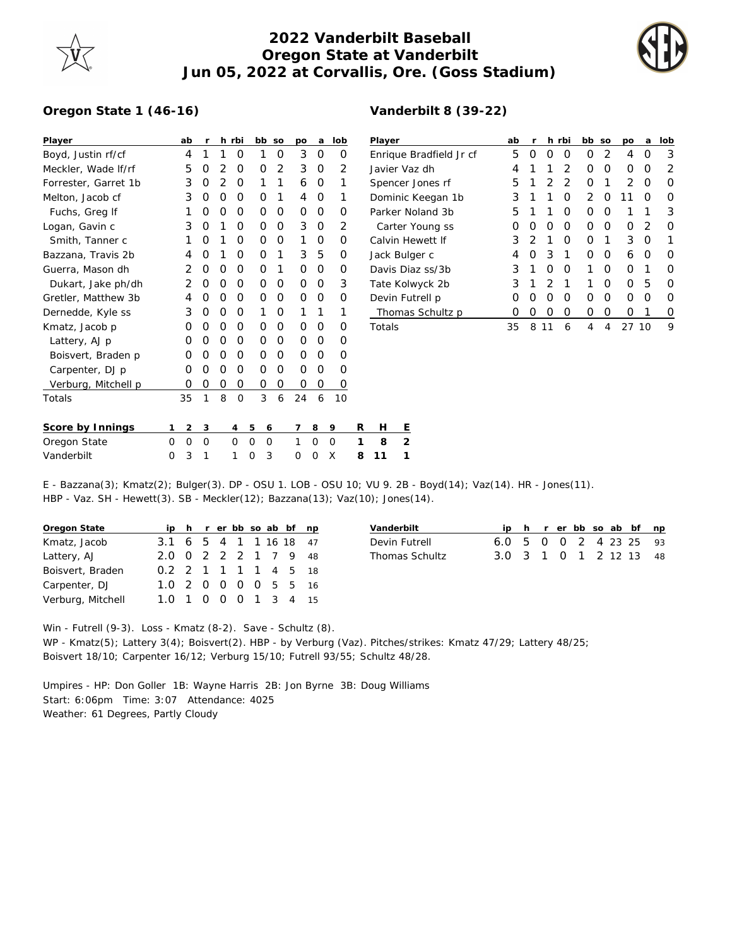## **2022 Vanderbilt Baseball Oregon State at Vanderbilt Jun 05, 2022 at Corvallis, Ore. (Goss Stadium)**



## **Oregon State 1 (46-16)**

| Player               | ab | r |   | h rbi | bb | SO             | DO | a | lob              |
|----------------------|----|---|---|-------|----|----------------|----|---|------------------|
| Boyd, Justin rf/cf   | 4  | 1 | 1 | O     | 1  | O              | 3  | Ο | O                |
| Meckler, Wade If/rf  | 5  | Ω | 2 | Ο     | O  | $\overline{2}$ | 3  | O | $\mathcal{P}$    |
| Forrester, Garret 1b | 3  | Ω | 2 | Ο     | 1  | 1              | 6  | Ω | 1                |
| Melton, Jacob cf     | 3  | O | O | Ο     | O  | 1              | 4  | Ω | 1                |
| Fuchs, Greg If       | 1  | Ω | O | Ω     | Ω  | O              | Ω  | Ω | Ω                |
| Logan, Gavin c       | 3  | O | 1 | Ω     | Ω  | 0              | 3  | O | 2                |
| Smith, Tanner c      | 1  | Ω | 1 | Ω     | Ω  | Ο              | 1  | Ω | $\Omega$         |
| Bazzana, Travis 2b   | 4  | Ω | 1 | Ω     | Ω  | 1              | 3  | 5 | Ω                |
| Guerra, Mason dh     | 2  | Ω | 0 | Ω     | O  | 1              | Ο  | Ο | Ω                |
| Dukart, Jake ph/dh   | 2  | Ω | 0 | Ω     | Ω  | O              | O  | O | 3                |
| Gretler, Matthew 3b  | 4  | Ω | 0 | Ω     | Ω  | O              | O  | Ω | ∩                |
| Dernedde, Kyle ss    | 3  | Ω | O | Ο     | 1  | Ω              | 1  | 1 | 1                |
| Kmatz, Jacob p       | Ω  | Ο | 0 | Ο     | Ο  | Ο              | O  | O | Ω                |
| Lattery, AJ p        | Ω  | Ω | O | O     | Ω  | Ο              | O  | O | Ω                |
| Boisvert, Braden p   | Ω  | Ω | O | Ο     | Ο  | Ο              | O  | O | Ω                |
| Carpenter, DJ p      | Ω  | Ω | 0 | Ω     | Ω  | Ω              | Ο  | Ο | ∩                |
| Verburg, Mitchell p  | ∩  | Ο | O | 0     | Ω  | O              | Ο  | Ο | $\left( \right)$ |
| Totals               | 35 | 1 | 8 | O     | 3  | 6              | 24 | 6 | 10               |
|                      |    |   |   |       |    |                |    |   |                  |

## **Vanderbilt 8 (39-22)**

| Player                  | ab | r                | h.               | rbi | bb             | <b>SO</b> | <b>DO</b> | a                | lob |
|-------------------------|----|------------------|------------------|-----|----------------|-----------|-----------|------------------|-----|
| Enrique Bradfield Jr cf | 5  | Ω                | $\left( \right)$ | Ω   | Ω              | 2         | 4         | $\left( \right)$ | 3   |
| Javier Vaz dh           | 4  | 1                | 1                | 2   | Ω              | Ω         | Ω         | O                | 2   |
| Spencer Jones rf        | 5  | 1                | 2                | 2   | Ο              | 1         | 2         | O                | 0   |
| Dominic Keegan 1b       | 3  | 1                | 1                | Ο   | $\overline{2}$ | O         | 1<br>1    | Ω                | O   |
| Parker Noland 3b        | 5  | 1                | 1                | Ω   | Ω              | O         | 1         | 1                | 3   |
| Carter Young ss         | Ω  | O                | Ω                | ∩   | Ω              | Ω         | Ω         | 2                | Ω   |
| Calvin Hewett If        | 3  | 2                | 1                | Ω   | O              | 1         | 3         | O                | 1   |
| Jack Bulger c           | 4  | O                | 3                | 1   | Ω              | O         | 6         | O                | O   |
| Davis Diaz ss/3b        | 3  | 1                | Ω                | Ω   | 1              | Ω         | ∩         | 1                | Ω   |
| Tate Kolwyck 2b         | 3  | 1                | $\overline{2}$   | 1   | 1              | Ω         | ∩         | 5                | 0   |
| Devin Futrell p         | Ω  | O                | Ω                | Ω   | ∩              | O         | Ω         | O                | 0   |
| Thomas Schultz p        | Ω  | $\left( \right)$ | Ω                | Ω   | Ω              | Ω         | 0         | 1                | 0   |
| Totals                  | 35 | 8                |                  | 6   | 4              | 4         | 27        | 10               | 9   |

| Score by Innings |  |  |  |  | 123 456 789 RH E         |  |
|------------------|--|--|--|--|--------------------------|--|
| Oregon State     |  |  |  |  | 0 0 0 0 0 0 1 0 0 1 8 2  |  |
| Vanderbilt       |  |  |  |  | 0 3 1 1 0 3 0 0 X 8 11 1 |  |

E - Bazzana(3); Kmatz(2); Bulger(3). DP - OSU 1. LOB - OSU 10; VU 9. 2B - Boyd(14); Vaz(14). HR - Jones(11). HBP - Vaz. SH - Hewett(3). SB - Meckler(12); Bazzana(13); Vaz(10); Jones(14).

| Oregon State      |                         |  |  |  | ip h r er bb so ab bf np |  |
|-------------------|-------------------------|--|--|--|--------------------------|--|
| Kmatz, Jacob      | 3.1 6 5 4 1 1 1 6 18 47 |  |  |  |                          |  |
| Lattery, AJ       | 2.0 0 2 2 2 1 7 9 48    |  |  |  |                          |  |
| Boisvert, Braden  | 0.2 2 1 1 1 1 4 5 18    |  |  |  |                          |  |
| Carpenter, DJ     | 1.0 2 0 0 0 0 5 5 16    |  |  |  |                          |  |
| Verburg, Mitchell | 1.0 1 0 0 0 1 3 4 15    |  |  |  |                          |  |

| Vanderbilt     |                        |  |  |  | ip h r er bb so ab bf np |
|----------------|------------------------|--|--|--|--------------------------|
| Devin Futrell  | 6.0 5 0 0 2 4 23 25 93 |  |  |  |                          |
| Thomas Schultz | 3.0 3 1 0 1 2 12 13 48 |  |  |  |                          |

Win - Futrell (9-3). Loss - Kmatz (8-2). Save - Schultz (8). WP - Kmatz(5); Lattery 3(4); Boisvert(2). HBP - by Verburg (Vaz). Pitches/strikes: Kmatz 47/29; Lattery 48/25; Boisvert 18/10; Carpenter 16/12; Verburg 15/10; Futrell 93/55; Schultz 48/28.

Umpires - HP: Don Goller 1B: Wayne Harris 2B: Jon Byrne 3B: Doug Williams Start: 6:06pm Time: 3:07 Attendance: 4025 Weather: 61 Degrees, Partly Cloudy